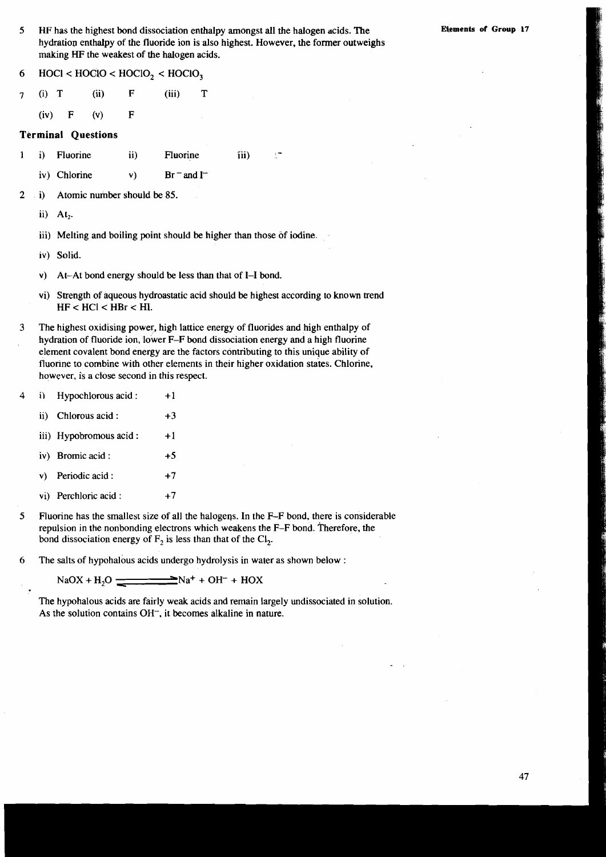- **5 HF** has the highest bond dissociation enthalpy amongst all the halogen acids. The **Elements of Croup 17**  hydration enthalpy of the fluoride ion is also highest. However, the former outweighs making **HF** the weakest of the halogen acids.
- $6$  HOCl < HOClO < HOClO<sub>3</sub> < HOClO<sub>3</sub>
- 7 **6)** T (ii) F (iii) T
	- (iv) F (v) F

#### **Terminal Questions**

- 1 i) Fluorine ii) Fluorine iii)
	- iv) Chlorine  $v$ ) Br  $^{-}$  and I<sup>-1</sup>
- 2 i) Atomic number should be 85.
	- ii) At,.
	- iii) Melting and boiling point should be higher than those of iodine.
	- iv) Solid.
	- v) At-At bond energy should be less than that of 1-1 bond.
	- vi) Strength of aqueous hydroastatic acid should be highest according to known trend HF < HCl < HBr < HI.
- 3 The highest oxidising power, high lattice energy of fluorides and high enthalpy of hydration of fluoride ion, lower F-F bond dissociation energy and a high fluorine element covalent bond energy are the factors contributing to this unique ability of fluorine to combine with other elements in their higher oxidation states. Chlorine, however, is a close second in this respect.
- 4 i) Hypochlorous acid : +1
	- ii) Chlorous acid :  $+3$
	- iii) Hypobromous  $\text{acid}: +1$
	- iv) Bromic acid : **+5**
	- v) Periodic acid :  $+7$
	- vi) Perchloric acid :  $+7$
- **5** Fluorine has the smallest size of all the halogeqs. In the F-F bond, there is considerable repulsion in the nonbonding electrons which weakens the F-F bond. Therefore, the bond dissociation energy of  $F_2$  is less than that of the Cl<sub>2</sub>.
- **6** The salts of hypohalous acids undergo hydrolysis in water as shown below :

$$
NaOX + H_2O \underbrace{\qquad \qquad } Na^+ + OH^- + HOX
$$

The hypohalous acids are fairly weak acids and remain largely undissociated in solution. As the solution contains OH<sup>-</sup>, it becomes alkaline in nature.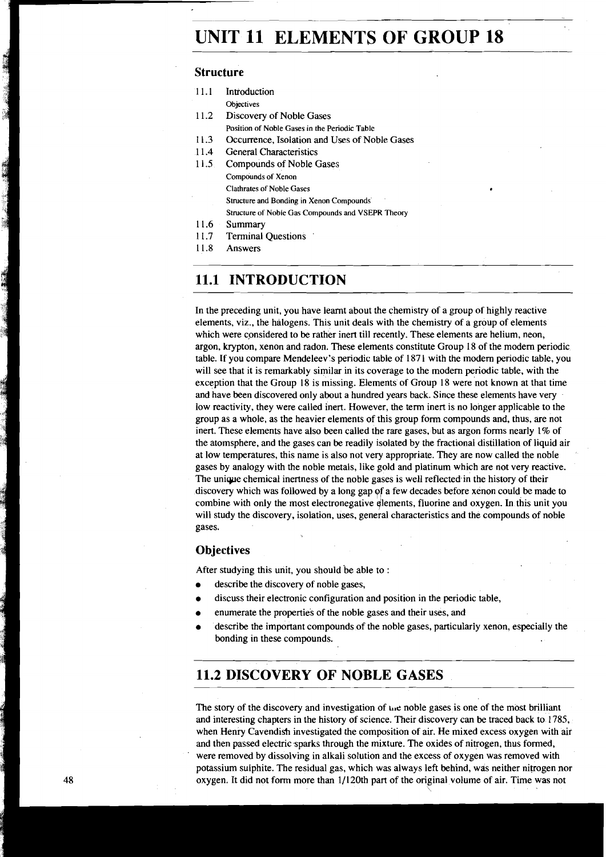# **UNIT 11 ELEMENTS OF GROUP 18**

## **Structure**

- $11.1$ Intioduction
- **Objectives**
- 11.2 Discovery of Noble Gases
	- **Position of Noble Gases in the Periodic Table**
- $11.3$ Occurrence, Isolation and Uses of Noble Gases
- $11.4$ General Characteristics
- $11.5$ Compounds of Noble Gases **Compounds of Xenon Clathrates of Noble Gases Structure and Bonding in Xenon Compounds. Structure of Noble Gas Compounds and VSEPR Theory**
- 11.6 Summary
- $117$ Terminal Questions '
- 11.8 Answers

## **11.1 INTRODUCTION**

In the preceding unit, you have learnt about the chemistry of a group of highly reactive elements, viz., the halogens. This unit deals with the chemistry of a group of elements which were considered to be rather inert till recently. These elements are helium, neon, argon, krypton, xenon and radon. These elements constitute Group 18 of the modem periodic table. If you compare Mendeleev's periodic table of 187 1 with the modem periodic table, you will see that it is remarkably similar in its coverage to the modem periodic table, with the exception that the Group 18 is missing. Elements of Group 18 were not known at that time and have been discovered only about a hundred years back. Since these elements have very low reactivity, they were called inert. However, the term inert is no longer applicable to the group as a whole, as the heavier elements of this group form compounds and, thus, are not inert. These elements have also been called the rare gases, but as argon forms nearly 1% of the atomsphere, and the gases can be readily isolated by the fractional distillation of liquid air at low temperatures, this name is also not very appropriate. They are now called the noble gases by analogy with the noble metals, like gold and platinum which are not very reactive. The unique chemical inertness of the noble gases is well reflected in the history of their discovery which was followed by a long gap of a few decades before xenon could be made to combine with only the most electronegative elements, fluorine and oxygen. In this unit you will study the discovery, isolation, uses, general characteristics and the compounds of noble gases.

#### **Objectives**

After studying this unit, you should be able to :

- describe the discovery of noble gases,
- discuss their electronic configuration and position in the periodic table,
- enumerate the properties of the noble gases and their uses, and
- describe the important compounds of the noble gases, particuiariy xenon, especially the bonding in these compounds.

## **11.2 DISCOVERY OF NOBLE GASES**

The story of the discovery and investigation of the noble gases is one of the most brilliant and interesting chapters in the history of science. Their discovery can be traced back to 1785, when Henry Cavendish investigated the composition of air. He mixed excess oxygen with air and then passed electric sparks through the mixture. The oxides of nitrogen, thus formed, were removed by dissolving in alkali solution and the excess of oxygen was removed with potassium sulphite. The residual gas, which was always left behind, was neither nitrogen nor oxygen. It did not form more than  $1/120$ th part of the original volume of air. Time was not

a a compositor de la compositor de la compositor de la compositor de la compositor de la compositor de la comp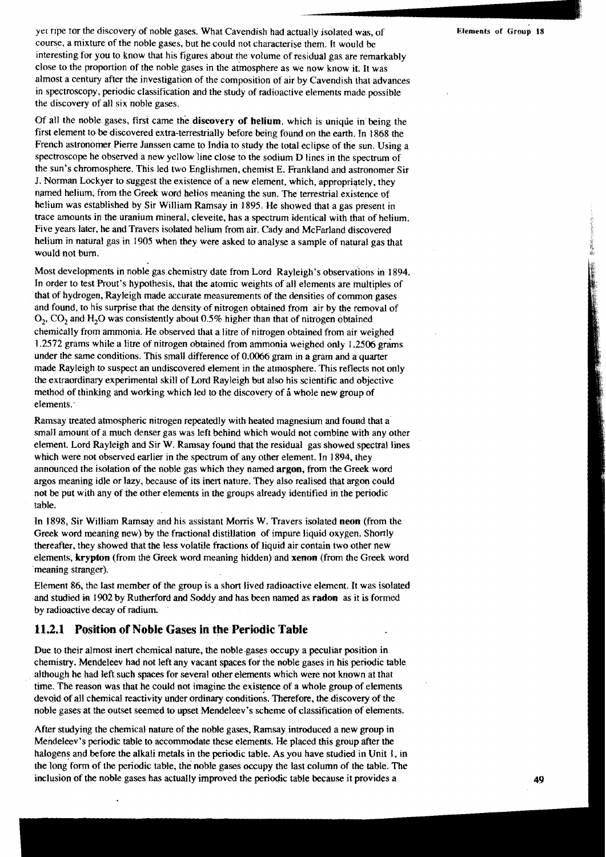6

1

**yel** ripe Tor the discovery of noble gases. What Cavendish had actually isolated was, of **Elements of Group 18**  course, a mixture of the noble gases, but he could not characterise them. It would be interesting for you to know that his figures about the volume of residual gas are remarkably close to the proportion of the noble gases in the atmosphere as we now know it. It was almost a century after the investigation of the composition of air by Cavendish that advances in spectroscopy, periodic classification and the study of radioactive elements made possible the discovery of all six noble gases.

Of all the noble gases, first came the discovery of helium, which is uniqlie in being the first element to be discovered extra-terrestrially before being found on the earth. In 1868 the French astronomer Pierre Janssen came to India to study the total eclipse of the sun. Using a spectroscope he observed a new yellow line close to the sodium D lines in the spectrum of the sun's chromosphere. This led two Englishmen, chemist E. Frankland and astronomer Sir J. Norman Lockyer to suggest the existence of a new element, which, qpropriqtely, they named helium, from the Greek word helios meaning the sun. The terrestrial existence of helium was established by Sir William Ramsay in 1895. He showed that a gas present in trace amounts in the uranium mineral, cleveite, has a spectrum identical with that of helium. Five years later, he and Travers isolated helium from air. Cady and McFarland discovered helium in natural gas in 1905 when they were asked to analyse a sample of natural gas that would not bum.

Most developments in noble gas chemistry date from Lord Rayleigh's observations in 1894. In order to test Prout's hypothesis, that the atomic weights of all elements are multiples of that of hydrogen, Rayleigh made accurate measurements of the densities of common gases and found, to his surprise that the density of nitrogen obtained from air by the removal of 02, C02 and **H20** was consistently about 0.5% higher than that of nitrogen obtained chemically from ammonia. He observed that a litre of nitrogen obtained from air weighed 1.2572 grams while a litre of nitrogen obtained from ammonia weighed only 1.2506 grams under the same conditions. This small difference of 0.0066 gram **m** a gram and a quarter made Rayleigh to suspect an undiscovered element in the atmosphere. This reflects not only the extraordinary experimental skill of Lord Rayleigh but also his scientific and objective method of thinking and working which led to the discovery of **i** whole new group of elements. '

Ramsay treated atmospheric nitrogen repeatedly with heated magnesium and found that a small amount of a much denser gas was left behind which would not combine with any other element. Lord Rayleigh and Sir W. Ramsay found that the residual gas showed spectral lines which were not observed earlier in the spectrum of any other element. In 1894, they announced the isolation of the noble gas which they named argon, from the Greek word argos meaning idle or lazy, because of its ineit nature. They also realised that argon could not be put with any of the other elements in the groups already identified in the periodic table.

In 1898, Sir William Ramsay and his assistant Morris W. Travers isolated neon (from the Greek word meaning new) by the fractional distillation of impure liquid oxygen. Shortly thereafter, they showed that the less volatile fractions of liquid air contain two other new elements, krypton (from the Greek word meaning hidden) and xenon (from the Greek word meaning stranger).

Element 86, the last member of the group is a short lived radioactive element. It was isolated and studied **in** 1902 by Rutherford and Soddy and has been named as radon as it is formed by radioactive decay of radium.

#### **11.2.1 Position of Noble Gases in the Periodic Table**

Due to their almost inert chemical nature, the noble.gases occupy a peculiar position in chemistry. Mendeleev had not left any vacant spaces for the noble gases in his periodic table although he had left such spaces for several other elements which were not known at that time. The reason was that he could not imagine the existence of a whole group of elements devoid of all chemical reactivity under ordinary conditions. Therefore, the discovery of the noble gases at the outset seemed to upset Mendeleev's scheme of classification of elements.

After studying the chemical nature of the noble gases, Ramsay introduced a new group in Mendeleev's periodic table to accommodate these elements. He placed this group after the halogens and before the alkali metals in the periodic table. As you have studied in Unit 1, in the long form of the periodic table, the noble gases occupy the last column of the table. The inclusion of the noble gases has actually improved the periodic table because it provides a **49**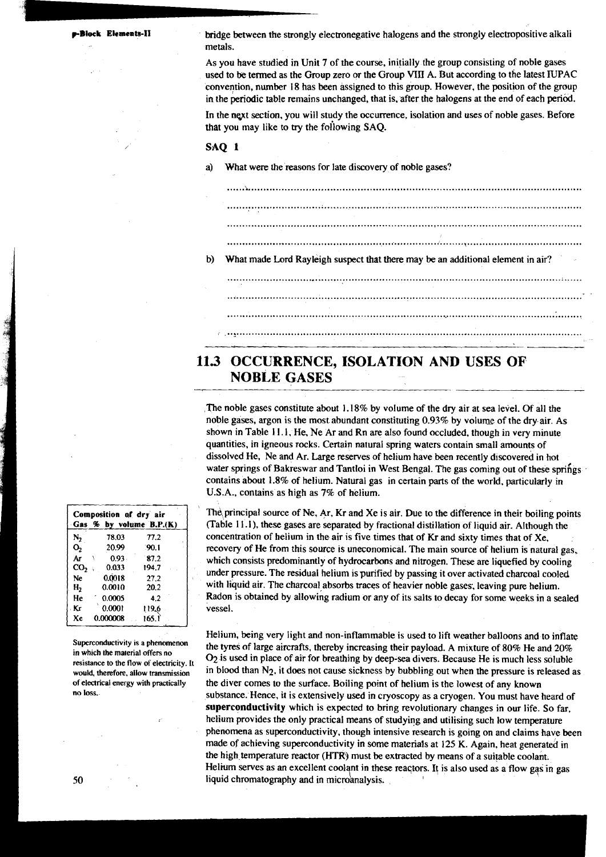**~BIOCL Ekmeats-I1** bridge between the strongly electronegative halogens and the strongly electropositive alkali metals.

> As you have studied in Unit 7 of the course, initially the group consisting of noble gases used to be tenned as the Group zero or the Group **VIII** A. But according to the latest IUPAC convention, number 18 has been assigned to this group. However, the position of the group in the periodic table remains unchanged, that is, after the halogens at the end of each perid.

> In the next section, you will study the occurrence, isolation and uses of noble gases. Before that you may like to **try** the foilowing SAQ.

#### SAQ 1

a) What were the reasons for late discovery of noble gases?

.................. ".... ..................................... " .. ..................................................... b) What made Lord Rayleigh suspect that there may be an additional element in air? 

## **113 OCCURRENCE, ISOLATION AND USES OF NOBLE GASES**

The noble gases constitute about 1.18% by volume of the dry air at sea level. Of all the noble gases, argon is the most abundant constituting 0.93% by volume of the dry air. As shown in Table 1 1.1, He, Ne Ar and Rn are also found occluded, though in very minute quantities, in igneous rocks. Certain natural spring waters contain small amounts of dissolved He, Ne and Ar. Large reserves of helium have been recently discovered in hot water springs of Bakreswar and Tantloi in West Bengal. The gas coming out of these springs contains about 1.8% of helium. Natural gas in certain parts of the world, particularly in U.S.A., contains as high as 7% of helium.

The principal source of Ne, Ar, Kr and Xe is air. Due to the difference in their boiling points (Table 11.1), these gases are separated by fractional distillation of liquid air. Although the concentration of helium in the air is five times that of Kr and sixty times that of Xe, recovery of He from this source is uneconomical. The main source of helium is natural gas, which consists predominantly of hydrocarbons and nitrogen. These are liquefied by cooling under pressure. The residual helium is purified by passing it over activated charcoal cooled with liquid air. The charcoal absorbs traces of heavier noble gases, leaving pure helium. Radon is obtained by allowing radium or any of its salts to decay for some weeks in a sealed vessel.

Helium, being very light and non-inflammable is used to lift weather balloons and to inflate Superconductivity is a phenomenon the tyres of large aircrafts, thereby increasing their payload. A mixture of 80% He and 20% resistance to the flow of electricity. It of the material offers no **in the material of the mate** O<sub>2</sub> is used in place of air for breathing by deep-sea divers. Because He is much less soluble **allow transmission** in blood than N<sub>2</sub>, it does not cause sickness by bubbling out when the pressure is released as of electrical energy with practically the diver comes to the surface. Boiling point of helium is the lowe **of electrical energy with practically** the diver comes to the surface. Boiling point of helium is the lowest of any known no loss. **no loss.** substance. Hence, it is extensively used in cryoscopy as a cryogen. You must have heard of superconductivity which is expected to bring revolutionary changes in our life. So far, helium provides the only practical means of studying and utilising such low temperature phenomena as superconductivity, though intensive research is golng on and claims have been made of achieving superconductivity in some materials at 125 K. Again, heat generated in the high temperature reactor (HTR) must be extracted by means of a suitable coolant. Helium serves as an excellent coolant in these reactors. It is also used as a flow gas in gas 50 **50 iguid chromatography and in microanalysis.** 

|                 | Composition of dry air | Gas % by volume B.P.(K) |  |
|-----------------|------------------------|-------------------------|--|
| N <sub>2</sub>  | 78.03                  | 77.2                    |  |
| O <sub>2</sub>  | 20.99                  | 90.1                    |  |
| Ar              | $0.93 -$<br>١          | 87.2                    |  |
| CO <sub>2</sub> | 0.033<br>A.            | 194.7                   |  |
| Ne              | 0.0018                 | 27.2                    |  |
| н,              | 0.0010                 | 20.2                    |  |
| He              | 0.0005                 | 4.2                     |  |
| . Kr            | 0.0001                 | 119.6                   |  |
| Xe              | 0.000008               | 165.1                   |  |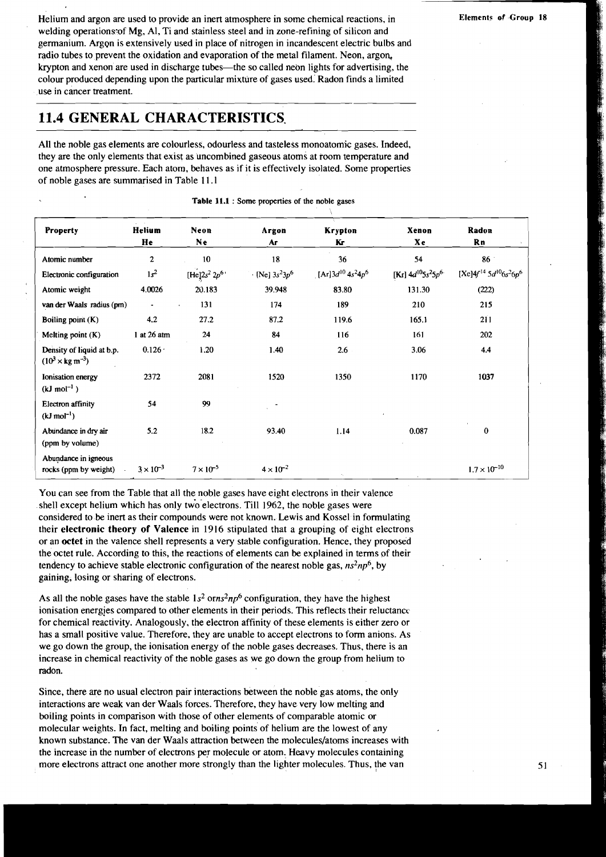Helium and argon are used to provide an inert atmosphere in some chemical reactions, in welding operations: of Mg, Al, Ti and stainless steel and in zone-refining of silicon and germanium. Argon is extensively used in place of nitrogen in incandescent electric bulbs and radio tubes to prevent the oxidation and evaporation of the metal filament. Neon, argon, krypton and xenon are used in discharge tubes-the so called neon lights for advertising, the colour produced depending upon the particular mixture of gases used. Radon finds a limited use in cancer treatment.

## **11.4 GENERAL CHARACTERISTICS.**

All the noble gas elements are colourless, odourless and tasteless monoatomic gases. Indeed, they are the only elements that exist as uncombined gaseous atoms at room temperature and one atmosphere pressure. Each atom, behaves as if it is effectively isolated. Some properties of noble gases are summarised in Table 11.1

| <b>Property</b>                                               | Helium<br>He       | Neon<br>Ne         | Argon<br>Ar             | Krypton<br>Kг             | Xenon<br>Xe            | Radon<br><b>Rn</b>                                              |
|---------------------------------------------------------------|--------------------|--------------------|-------------------------|---------------------------|------------------------|-----------------------------------------------------------------|
| Atomic number                                                 | $\overline{2}$     | 10 <sup>°</sup>    | 18                      | 36                        | 54                     | 86                                                              |
| Electronic configuration                                      | $1s^2$             | $[He]2s^2 2p^6$    | $\cdot$ [Ne] $3s^23p^6$ | [Ar] $3d^{10}$ $4s^24p^6$ | [Kr] $4d^{10}5s^25p^6$ | [Xe] $4f^{14}$ 5d <sup>10</sup> 6s <sup>2</sup> 6p <sup>6</sup> |
| Atomic weight                                                 | 4.0026             | 20.183             | 39.948                  | 83.80                     | 131.30                 | (222)                                                           |
| van der Waals radius (pm)                                     | $\blacksquare$     | 131                | 174                     | 189                       | 210                    | 215                                                             |
| Boiling point $(K)$                                           | 4.2                | 27.2               | 87.2                    | 119.6                     | 165.1                  | 211                                                             |
| Melting point $(K)$                                           | 1 at 26 atm        | 24                 | 84                      | 116                       | 161                    | 202                                                             |
| Density of liquid at b.p.<br>$(10^3 \times \text{kg m}^{-3})$ | $0.126 -$          | 1.20               | 1.40                    | 2.6                       | 3.06                   | 4.4                                                             |
| Ionisation energy<br>$(kJ \text{ mol}^{-1})$                  | 2372               | 2081               | 1520                    | 1350                      | 1170                   | 1037                                                            |
| <b>Electron</b> affinity<br>$(kJ \text{ mol}^{-1})$           | 54                 | 99                 |                         |                           |                        |                                                                 |
| Abundance in dry air<br>(ppm by volume)                       | 5.2                | 18.2               | 93.40                   | 1.14                      | 0.087                  | 0                                                               |
| Abundance in igneous<br>rocks (ppm by weight)                 | $3 \times 10^{-3}$ | $7 \times 10^{-5}$ | $4 \times 10^{-2}$      |                           |                        | $1.7 \times 10^{-10}$                                           |

**Table 11.1** : **Some properties of the noble gases** 

You can see from the Table that all the noble gases have eight electrons in their valence shell except helium which has only two-electrons. Till 1962, the noble gases were considered to be inert as their compounds were not known. Lewis and Kossel in formulating their **electronic theory of Valence** in 1916 stipulated that a grouping of eight electrons or an **octet** in the valence shell represents a very stable configuration. Hence, they proposed the octet rule. According to this, the reactions of elements can be explained in terms of their tendency to achieve stable electronic configuration of the nearest noble gas,  $ns^2np^6$ , by gaining, losing or sharing of electrons.

As all the noble gases have the stable  $1s^2$  orns<sup>2</sup>np<sup>6</sup> configuration, they have the highest ionisation energies compared to other elements in their periods. This reflects their reluctance for chemical reactivity. Analogously, the electron affinity of these elements is either zero or has a small positive value. Therefore, they are unable to accept electrons to form anions. As we go down the group, the ionisation energy of the noble gases decreases. Thus, there is an increase in chemical reactivity of the noble gases as we go down the group from helium to radon.

Since, there are no usual electron pair interactions between the noble gas atoms, the only interactions are weak van der Waals forces. Therefore, they have very low melting and boiling points in comparison with those of other elements of comparable atomic or molecular weights. In fact, melting and boiling points of helium are the lowest of any known substance. The van der Waals attraction between the molecules/atoms increases with the increase in the number of electrons per molecule or atom. Heavy molecules containing more electrons attract one another more strongly than the lighter molecules. Thus, the van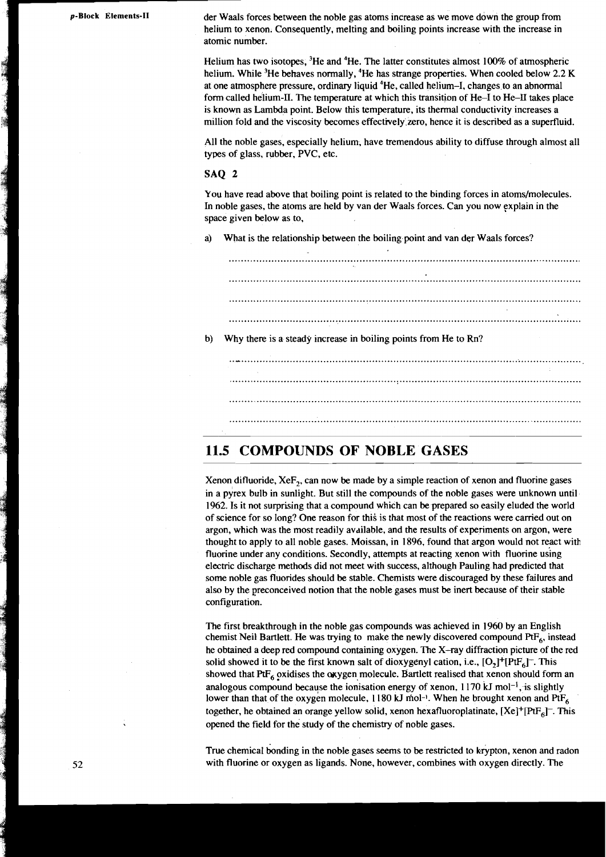a a componenta de la componenta de la componenta de la componenta de la componenta de la componenta de la comp<br>Componenta de la componenta de la componenta de la componenta de la componenta de la componenta de la componen

**p-Block Elements-II** der Waals forces between the noble gas atoms increase as we move down the group from helium to xenon. Consequently, melting and boiling points increase with the increase in atomic number.

> Helium has two isotopes,  ${}^{3}$ He and  ${}^{4}$ He. The latter constitutes almost 100% of atmospheric helium. While <sup>3</sup>He behaves normally, <sup>4</sup>He has strange properties. When cooled below 2.2 K at one atmosphere pressure, ordinary liquid 4He, called helium-I, changes to an abnormal form called helium-II. The temperature at which this transition of He-I to He-II takes place is known as Lambda point. Below this temperature, its thermal conductivity increases a million fold and the viscosity becomes effectively.zero, hence it is described as a superfluid.

> All the noble gases, especially helium, have tremendous ability to diffuse through almost all types of glass, rubber, PVC, etc.

#### **SAQ 2**

You have read above that boiling point is related to the binding forces in atoms/molecules. In noble gases, the atoms are held by van der Waals forces. Can you now explain in the space given below as to,

a) What is the relationship between the boiling.point and van der Waals forces?

|    | <b>A</b>                                                        |  |
|----|-----------------------------------------------------------------|--|
|    |                                                                 |  |
|    |                                                                 |  |
|    |                                                                 |  |
|    |                                                                 |  |
|    |                                                                 |  |
| b) | Why there is a steady increase in boiling points from He to Rn? |  |
|    |                                                                 |  |
|    |                                                                 |  |
|    |                                                                 |  |
|    |                                                                 |  |

## 11.5 COMPOUNDS OF NOBLE GASES

Xenon difluoride, XeF,, can now be made by a simple reaction of xenon and fluorine gases in a pyrex bulb in sunlight. But still the compounds of the noble gases were unknown until 1962. Is it not surprising that a compound which can be prepared so easily eluded the world of science for so long? One reason for this is that most of the reactions were camed out on argon, which was the most readily available, and the results of experiments on argon, were thought to apply to all noble gases. Moissan, in 1896, found that argon would not react with fluorine under any conditions. Secondly, attempts at reacting xenon with fluorine using electric discharge methods did not meet with success, although Pauling had predicted that some noble gas fluorides should be stable. Chemists were discouraged by these failures and also by the preconceived notion that the noble gases must be inert because of their stable configuration.

The first breakthrough in the noble gas compounds was achieved in 1960 by an English chemist Neil Bartlett. He was trying to make the newly discovered compound PtF<sub>6</sub>, instead he obtained a deep red compound containing oxygen. The X-ray diffraction picture of the red solid showed it to be the first known salt of dioxygenyl cation, i.e.,  $[O_2]^+$ [Pt $F_6$ ]. This showed that  $P$ t $F_6$  oxidises the oxygen molecule. Bartlett realised that xenon should form an analogous compound because the ionisation energy of xenon,  $1170 \text{ kJ}$  mol<sup>-1</sup>, is slightly lower than that of the oxygen molecule,  $1180 \text{ kJ}$  mol<sup>-1</sup>. When he brought xenon and PtF<sub>6</sub> together, he obtained an orange yellow solid, xenon hexafluoroplatinate,  $[Xe]^+ [PtF_\epsilon]^-$ . This opened the field for the study of the chemistry of noble gases.

True chemical bonding in the noble gases seems to be restricted to krypton, xenon and radon with fluorine or oxygen as ligands. None, however, combines with oxygen directly. The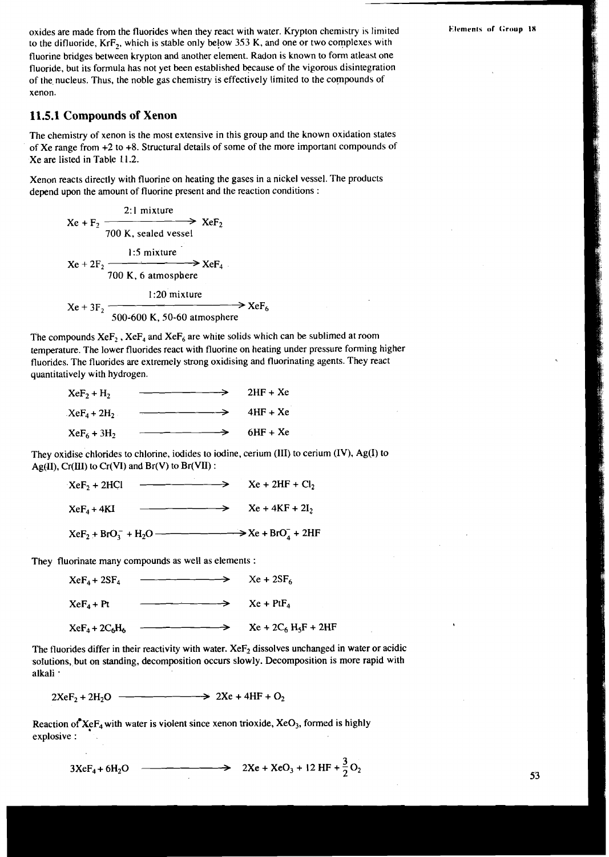oxides are made from the fluorides when they react with water. Krypton chemistry is limited Elements of Group 18 to the difluoride,  $KrF<sub>2</sub>$ , which is stable only below 353 K, and one or two complexes with fluorine bridges between krypton and another element. Radon is known to fonn atleast one fluoride, but its formula has not yet been established because of the vigorous disintegration<br>of the nucleus. Thus, the noble gas chemistry is effectively limited to the compounds of xenon.

#### 11.5.1 **Compounds of Xenon**

The chemistry of xenon is the most extensive in this group and the known oxidation states of Xe range from +2 to +8. Structural details of some of the more important compounds of Xe are listed in Table 11.2.

Xenon reacts directly with fluorine on heating the gases in a nickel vessel. The products depend upon the amount of fluorine present and the reaction conditions :

$$
Xe + F_2
$$
  
\n
$$
700 K, \text{ sealed vessel}
$$
  
\n
$$
Xe + 2F_2
$$
  
\n
$$
700 K, \text{ sealed vessel}
$$
  
\n
$$
Xe + 2F_2
$$
  
\n
$$
700 K, 6 \text{ atmosphere}
$$
  
\n1:20 mixture  
\n
$$
Xe + 3F_2
$$
  
\n500-600 K, 50-60 atmosphere  
\n
$$
300-600 K, 50-60 \text{ atmosphere}
$$

The compounds  $XeF_2$ ,  $XeF_4$  and  $XeF_6$  are white solids which can be sublimed at room temperature. The lower fluorides react with fluorine on heating under pressure forming higher fluorides. The fluorides are extremely strong oxidising and fluorinating agents. They react quantitatively with hydrogen.

| $XeF_2 + H_2$  | $\longrightarrow$ | $2HF + Xe$ |
|----------------|-------------------|------------|
| $XeF_4 + 2H_2$ | $\rightarrow$     | $4HF + Xe$ |
| $XeF_6 + 3H_2$ |                   | $6HF + Xe$ |

They oxidise chlorides to chlorine, iodides to iodine, cerium (111) to cerium (IV), Ag(1) to Ag(II),  $Cr(III)$  to  $Cr(VI)$  and  $Br(V)$  to  $Br(VII)$ :

|                      | 1:5 mixture                                               |                   |                                                                                                                                                                                                                                 |
|----------------------|-----------------------------------------------------------|-------------------|---------------------------------------------------------------------------------------------------------------------------------------------------------------------------------------------------------------------------------|
| $Xe + 2F_2$          | $\longrightarrow$ XeF <sub>4</sub><br>700 K, 6 atmosphere |                   |                                                                                                                                                                                                                                 |
| $Xe + 3F_2$ –        | 1:20 mixture                                              |                   | $\rightarrow$ XeF                                                                                                                                                                                                               |
|                      | 500-600 K, 50-60 atmosphere                               |                   |                                                                                                                                                                                                                                 |
| ively with hydrogen. |                                                           |                   | pounds $XeF_2$ , $XeF_4$ and $XeF_6$ are white solids which can be sublime<br>ure. The lower fluorides react with fluorine on heating under pressure<br>s. The fluorides are extremely strong oxidising and fluorinating agents |
| $XeF_2 + H_2$        |                                                           | $\rightarrow$     | $2HF + Xe$                                                                                                                                                                                                                      |
| $XeF_4 + 2H_2$       |                                                           | $\longrightarrow$ | 4HF + Xe                                                                                                                                                                                                                        |
| $XeF_6 + 3H_2$       | $\longrightarrow$ 6HF + Xe                                |                   |                                                                                                                                                                                                                                 |
|                      | $Cr(III)$ to $Cr(VI)$ and $Br(V)$ to $Br(VII)$ :          |                   | idise chlorides to chlorine, iodides to iodine, cerium (III) to cerium (I                                                                                                                                                       |
| $XeF_2 + 2HCl$       |                                                           |                   | $\longrightarrow$ $Xe + 2HF + Cl_2$                                                                                                                                                                                             |
| $XeF_4 + 4KI$        |                                                           |                   | $\longrightarrow$ $Xe + 4KF + 2I_2$                                                                                                                                                                                             |
|                      |                                                           |                   |                                                                                                                                                                                                                                 |
|                      | uorinate many compounds as well as elements :             |                   |                                                                                                                                                                                                                                 |
| $XeF_4 + 2SF_4$      |                                                           |                   | $Xe + 2SF_6$                                                                                                                                                                                                                    |
| $XeF_4 + Pt$         |                                                           | $\longrightarrow$ | $Xe + PtF_4$                                                                                                                                                                                                                    |
| $XeF_4 + 2C_6H_6$    | ————— <del>&gt;</del>                                     |                   | $Xe + 2C_6 H_5F + 2HF$                                                                                                                                                                                                          |
|                      |                                                           |                   | orides differ in their reactivity with water. $XeF_2$ dissolves unchanged in<br>s, but on standing, decomposition occurs slowly. Decomposition is a                                                                             |
|                      |                                                           |                   |                                                                                                                                                                                                                                 |

They fluorinate many compounds as well as elements :

| $XeF_4 + 2SF_4$   |               | $Xe + 2SF_6$          |
|-------------------|---------------|-----------------------|
| $XeF_4 + Pt$      |               | $Xe + PtF_A$          |
| $XeF_4 + 2C_6H_6$ | $\rightarrow$ | $Xe + 2C_6 H_5F + 2I$ |

The fluorides differ in their reactivity with water.  $XeF_2$  dissolves unchanged in water or acidic solutions, but on standing, decomposition occurs slowly. Decomposition is more rapid with alkali '

 $2XeF_2 + 2H_2O$   $\longrightarrow$   $2Xe + 4HF + O_2$ 

Reaction of  $XeF_4$  with water is violent since xenon trioxide,  $XeO_3$ , formed is highly explosive : .

$$
3XeF_4 + 6H_2O \quad \longrightarrow \quad 2Xe + XeO_3 + 12 HF + \frac{3}{2}O_2
$$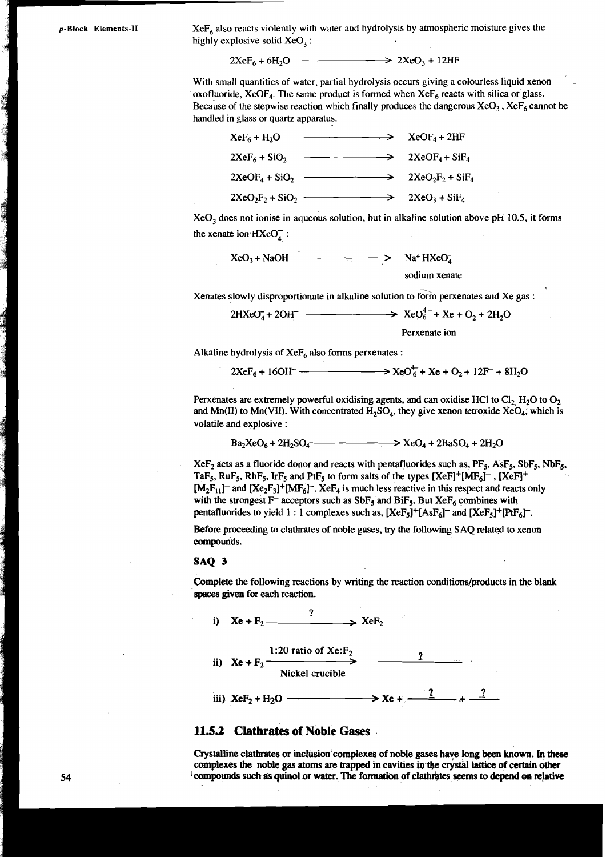a production of the contract of the contract of the contract of the contract of the contract of the contract of

**p-BIock** Elements-II **XeF**<sub>6</sub> also reacts violently with water and hydrolysis by atmospheric moisture gives the highly explosive solid  $XeO<sub>3</sub>$ :

With small quantities of water, partial hydrolysis occurs giving a colourless liquid xenon oxofluoride, XeOF<sub>4</sub>. The same product is formed when  $XeF_6$  reacts with silica or glass. Because of the stepwise reaction which finally produces the dangerous  $XeO<sub>3</sub>$ ,  $XeF<sub>6</sub>$  cannot be handled in glass or quartz apparatus.

| in glass or quartz apparatus. |                                                                  | all quantities of water, partial hydrolysis occurs giving a colourless liqu<br>ide, XeOF <sub>4</sub> . The same product is formed when $XeF_6$ reacts with silica o<br>of the stepwise reaction which finally produces the dangerous $XeO3$ , $Xe$ |
|-------------------------------|------------------------------------------------------------------|-----------------------------------------------------------------------------------------------------------------------------------------------------------------------------------------------------------------------------------------------------|
| $XeF_6 + H_2O$                | $XeOF4+2HF$                                                      |                                                                                                                                                                                                                                                     |
|                               | $2XeF_6 + SiO_2$ $\longrightarrow$ $2XeOF_4 + SiF_4$             |                                                                                                                                                                                                                                                     |
|                               |                                                                  |                                                                                                                                                                                                                                                     |
|                               | $2XeO_2F_2 + SiO_2$ 2XeO <sub>3</sub> + SiF <sub>4</sub>         |                                                                                                                                                                                                                                                     |
| te ion $HXeO_4^-$ :           |                                                                  | bes not ionise in aqueous solution, but in alkaline solution above pH 10                                                                                                                                                                            |
|                               | $XeO_3 + NaOH$ $\longrightarrow$ $\longrightarrow$ $Na^+ HXeO_4$ |                                                                                                                                                                                                                                                     |
|                               |                                                                  | sodium xenate                                                                                                                                                                                                                                       |
|                               |                                                                  | slowly disproportionate in alkaline solution to form perxenates and Xe                                                                                                                                                                              |
|                               |                                                                  |                                                                                                                                                                                                                                                     |
|                               |                                                                  | Perxenate ion                                                                                                                                                                                                                                       |
|                               | : hydrolysis of $XeF_6$ also forms perxenates :                  |                                                                                                                                                                                                                                                     |
|                               |                                                                  | $2XeF_6 + 16OH^ \longrightarrow$ $XeO_6^4 + Xe + O_2 + 12F^- + 8H$                                                                                                                                                                                  |
|                               |                                                                  |                                                                                                                                                                                                                                                     |

XeO, does not ionise in aqueous solution, but in alkaline solution above pH **10.5,** it forms the xenate ion  $HXeO<sub>A</sub>$ :

$$
XeO_3 + NaOH
$$
  
\n
$$
XeO_3 + NaOH
$$
  
\n
$$
XeO_4 + NaOH
$$
  
\n
$$
XeO_3 + NaOH
$$
  
\n
$$
SNeO_4 + 2OH^-
$$
  
\n
$$
XeO_4^4 - 2OH^-
$$
  
\n
$$
XeO_6^4 - Xe + O_2 + 2H_2O
$$
  
\n
$$
Perrenate ion
$$
  
\n
$$
Perrenate ion
$$

Alkaline hydrolysis of  $XeF_6$  also forms perxenates :

Perxenates are extremely powerful oxidising agents, and can oxidise HCl to  $Cl_2$ , H<sub>2</sub>O to  $O_2$ and Mn(II) to Mn(VII). With concentrated  $H_2SO_4$ , they give xenon tetroxide XeO<sub>4</sub>, which is volatile and explosive :

 $Ba_2XeO_6 + 2H_2SO_4$   $\longrightarrow$   $\longrightarrow$   $XeO_4 + 2BaSO_4 + 2H_2O$ 

XeF<sub>2</sub> acts as a fluoride donor and reacts with pentafluorides such as, PF<sub>5</sub>, AsF<sub>5</sub>, SbF<sub>5</sub>, NbF<sub>5</sub>, TaF<sub>5</sub>, RuF<sub>5</sub>, RhF<sub>5</sub>, IrF<sub>5</sub> and PtF<sub>5</sub> to form salts of the types  $[XeF]^+ [MF_6]^-, [XeF]^+$  $[M_2F_{11}]^-$  and  $[Xe_2F_3]^+[MF_6]^-$ . Xe $F_4$  is much less reactive in this respect and reacts only with the strongest F<sup> $-$ </sup> acceptors such as SbF<sub>5</sub> and BiF<sub>5</sub>. But XeF<sub>6</sub> combines with pentafluorides to yield 1 : 1 complexes such as,  $[XeF_5]^+[AsF_6]^-$  and  $[XeF_5]^+[PtF_6]^-$ .

Before proceeding to clathrates of noble gases, **try** the following SAQ related to xenon compounds.

#### **SAQ** 3

Complete the following reactions by writing the reaction conditions/products in the blank spaces given for each reaction.



#### **11.53 Clathrates of Noble Gases**

Crystalline clathrates or inclusion complexes of noble gases have long been known. In these complexes the noble gas atoms are trapped in cavities in the crystal lattice of certain other I compounds such as quinol **.or** water. The formation of claWtes seems **to** depend **cm** mlative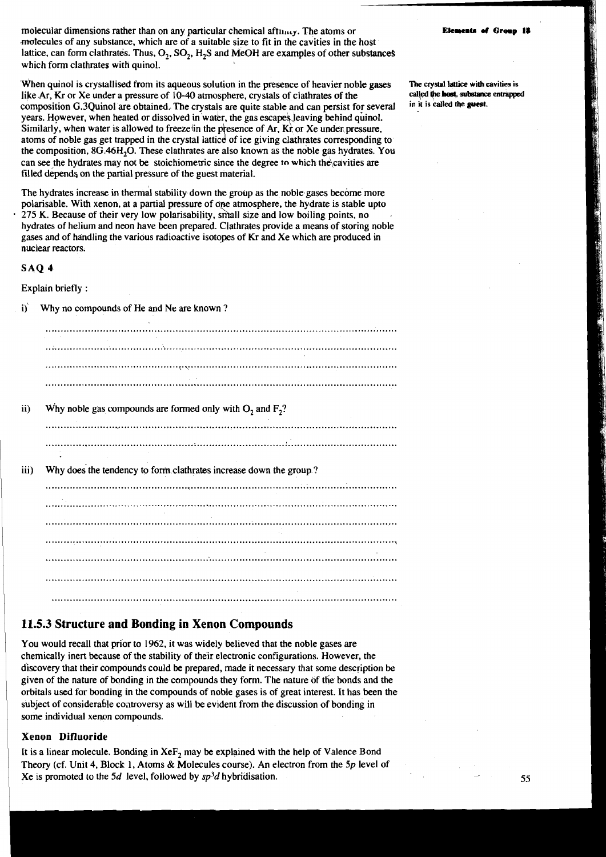molecular dimensions rather than on any particular chemical aft $n_{\text{max}}$ . The atoms or motecules of any substance, which are of a suitable size to fit in the cavities in the host lattice, can form clathrates. Thus,  $O_2$ ,  $SO_2$ ,  $H_2S$  and MeOH are examples of other substances which form clathrates with quinol.

When quinol is crystallised from its aqueous solution in the presence of heavier noble **gases**  like Ar, Kr or Xe under a pressure of 10-40 atmosphere, crystals of clathrates of the composition G.3Quinol are obtained. The crystals are quite stable and can persist for several years. However, when heated or dissolved in water, the gas escapes leaving behind quinol. Similarly, when water is allowed to freezelin the presence of Ar. **Kr** or Xe under pressure, atoms of noble gas get trapped in the crystal lattice of ice giving clathrates corresponding to the composition, 8G.46H<sub>2</sub>O. These clathrates are also known as the noble gas hydrates. You can seethe hydrates may not be stoichiometric since the degree **to** which the\cavities are filled depends on the partial pressure of the guest material.

The hydrates increase in thermal stability down the group as the noble gases become more polarisable. With xenon, at a partial pressure of one atmosphere, the hydrate is stable upto 275 K. Because of their very low polarisability, shall size and low boiling points, no hydrates of helium and neon have been prepared. Clathrates provide a means of storing noble gases and of handling the various radioactive isotopes of Kr and Xe which are produced in nuclear reactors.

#### **SAQ 4**

Explain briefly :

i) Why no compounds of He and Ne are known?

| Why noble gas compounds are formed only with $O_2$ and $F_2$ ?     |  |  |  |
|--------------------------------------------------------------------|--|--|--|
|                                                                    |  |  |  |
|                                                                    |  |  |  |
|                                                                    |  |  |  |
|                                                                    |  |  |  |
|                                                                    |  |  |  |
|                                                                    |  |  |  |
| $\sim$                                                             |  |  |  |
|                                                                    |  |  |  |
|                                                                    |  |  |  |
|                                                                    |  |  |  |
|                                                                    |  |  |  |
| Why does the tendency to form clathrates increase down the group.? |  |  |  |
|                                                                    |  |  |  |
|                                                                    |  |  |  |
|                                                                    |  |  |  |
|                                                                    |  |  |  |
|                                                                    |  |  |  |
|                                                                    |  |  |  |
|                                                                    |  |  |  |
|                                                                    |  |  |  |

## **11.5.3 Structure and Bonding in Xenon Compounds**

You would recall that prior to 1962, it was widely believed that the noble gases are chemically inert because of the stability of their electronic configurations. However, the discovery that their compounds could be prepared, made it necessary that some description be given of the nature of bonding in the compounds they form. The nature of the bonds and the orbitals used for bonding in the compounds of noble gases is of great interest. It has been the subject of considerable coatroversy as will be evldent from the discussion of bonding in some individual xenon compounds.

#### **Xenon Difluoride**

It is a linear molecule. Bonding in  $XeF_2$  may be explained with the help of Valence Bond Theory (cf. Unit 4, Block 1, Atoms & Molecules course). An electron from the *Sp* level of Xe is promoted to the 5d level, followed by  $sp<sup>3</sup>d$  hybridisation.

The **crystal lattice** with cavities is **cal\ed +e host. substam entrapped in it is called the guest.**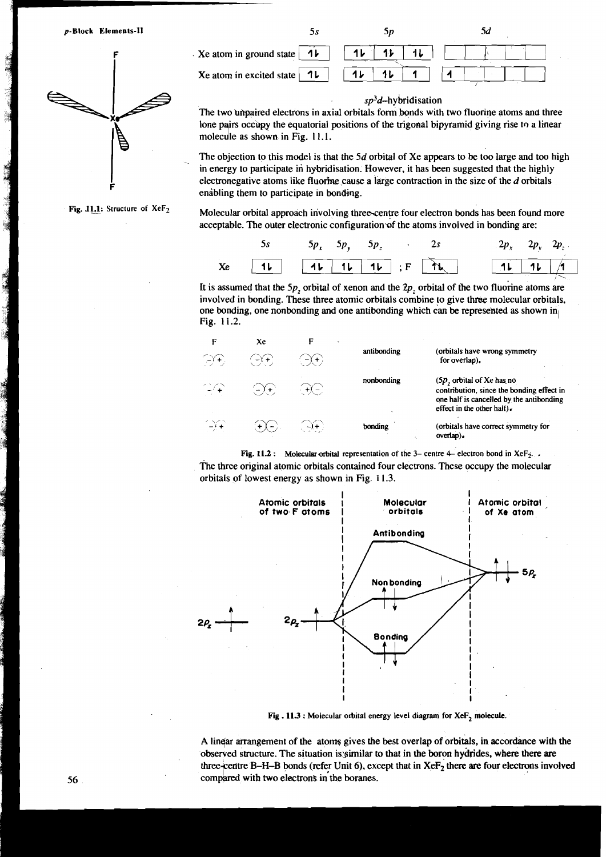p-Block Elements-II



**Fig. 11.1: Structure of XeF<sub>2</sub>** 

 $5s$  $5p$  $\mathcal{A}$  $\frac{1}{\sqrt{11}}$   $\frac{1}{\sqrt{11}}$   $\frac{1}{\sqrt{11}}$   $\frac{1}{\sqrt{11}}$  $x_e$  atom in ground state  $\begin{array}{|c|c|c|c|c|c|c|}\n\hline\n1 & 1 & 1 & 1\n\end{array}$ <br>  $x_e$  atom in excited state  $\begin{array}{|c|c|c|c|}\n\hline\n1 & 1 & 1\n\end{array}$ 1

#### $s p<sup>3</sup>d$ -hybridisation

The two unpaired electrons in axial orbitals form bonds with two fluorine atoms and three lone pairs occupy the equatorial positions of the trigonal bipyramid giving rise to a linear molecule as shown in Fig. 11.1.

The objection to this model is that the  $5d$  orbital of Xe appears to be too large and too high in energy to participate in hybridisation. However, it has been suggested that the highly electronegative atoms like fluorine cause a large contraction in the size of the  $d$  orbitals enabling them to participate in bonding.

Molecular orbital approach irivolving three-centre four electron bonds has been found more acceptable. The outer electronic configuration of the atoms involved in bonding are:

|  | 5s $5p_x 5p_y 5p_z$ 2s |  |  |                                  | $2p_x$ $2p_y$ $2p_z$ |
|--|------------------------|--|--|----------------------------------|----------------------|
|  |                        |  |  | $Xe$ 11 11 11 11; $F$ 12 11 11 1 |                      |

It is assumed that the 5p, orbital of xenon and the  $2p$ , orbital of the two fluorine atoms are involved in bonding. These three atomic orbitals combine to give three molecular orbitals, one bonding, one nonbonding and one antibonding which can be represented as shown in Fig. 1 1.2.

| F<br>$\bigoplus \mathfrak{S}_r$ | Xe<br>- GC 1                              | F<br>$-\Upsilon$ + $\Upsilon$ | antibonding | (orbitals have wrong symmetry<br>for overlap).                                                                                                     |
|---------------------------------|-------------------------------------------|-------------------------------|-------------|----------------------------------------------------------------------------------------------------------------------------------------------------|
| 14A -                           | $-\left(-\right)\left(\frac{1}{2}\right)$ | $\left( -\frac{1}{2} \right)$ | nonbonding  | $(5p,$ orbital of Xe has no<br>contribution, since the bonding effect in<br>one half is cancelled by the antibonding<br>effect in the other half). |
| ्भि                             | $(+\lambda -)$ .                          | $\sim$ ( $\rightarrow$ +)     | bonding     | (orbitals have correct symmetry for<br>overlap).                                                                                                   |

**Fig. 11.2 :** Molecular orbital representation of the 3- centre 4- electron bond in XeF<sub>2</sub>. . The three original atomic orbitals contained four electrons. These occupy the molecular orbitals of lowest energy as shown in Fig. 11.3.



Fig . 11.3 : Molecular orbital energy level diagram for XeF<sub>2</sub> molecule.

A linear arrangement of the atoms gives the best overlap of orbitals, in accordance with the observed structure. The situation is similar to that in the boron hydrides, where there are three-centre B-H-B bonds (refer Unit 6), except that in XeF<sub>2</sub> there are four electrons involved compared with two electrons in the boranes.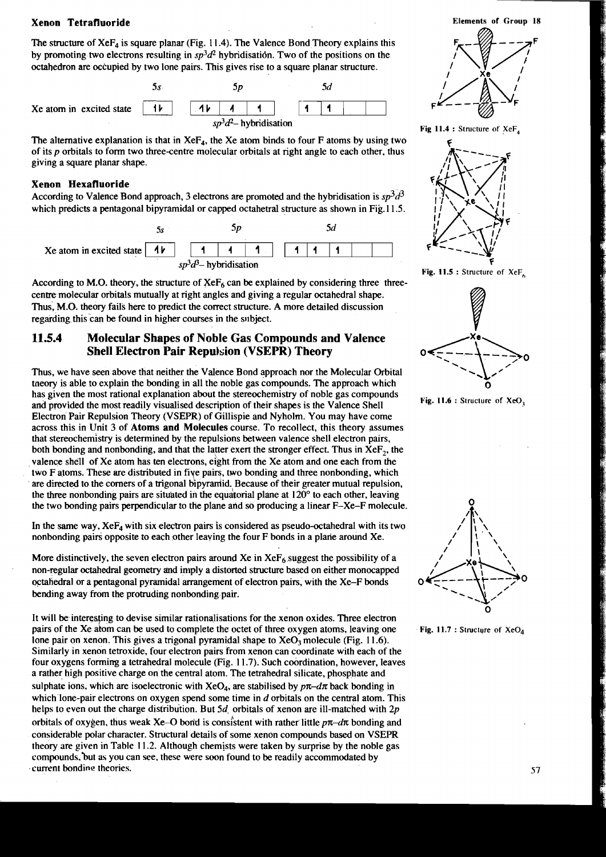## **Xenon Tetrafluoride Elements of Group 18**

The structure of  $XeF_4$  is square planar (Fig. 11.4). The Valence Bond Theory explains this by promoting two electrons resulting in  $sp<sup>3</sup>d<sup>2</sup>$  hybridisation. Two of the positions on the octahedron are occupied by two lone pairs. This gives rise to a square planar structure.



The alternative explanation is that in  $XeF_A$ , the Xe atom binds to four F atoms by using two of its p orbitals to form two three-centre molecular orbitals at right angle to each other, thus giving a square planar shape.

#### **Xenon Hexafluoride**

According to Valence Bond approach, 3 electrons are promoted and the hybridisation is  $sp^3d^3$ which predicts a pentagonal bipyramidal or capped octahetral structure as shown in Fig. 11.5.



According to M.O. theory, the structure of  $XeF_6$  can be explained by considering three threecentre molecular orbitals mutually at right angles and giving a regular octahedral shape. Thus, **M.O.** theory fails here to predict the correct structure. A more detailed discussion regarding this can be found in higher courses in the subject.

### **11.5.4 Molecular Shapes of Noble Gas Compounds and Valence Shell Electron Pair Repulsion (VSEPR) Theory**

Thus, we have seen above that neither the Valence Bond approach nor the Molecular Orbital tneory is able to explain the bonding in all the noble gas compounds. The approach which has given the most rational explanation about the stereochemistry of noble gas compounds and provided the most readily visualised description of their shapes is the Valence Shell Electron Pair Repulsion Theory (VSEPR) of Gillispie and Nyholm. You may have come across this in Unit 3 of **Atoms and Molecules** course. To recollect, this theory assumes that stereochemistry is determined by the repulsions between valence shell electron pairs. both bonding and nonbonding, and that the latter exert the stronger effect. Thus in XeF<sub>2</sub>, the valence shell of Xe atom has ten electrons, eight from the Xe atom and one each from the two F atoms. These are distributed in five pairs, two bonding and three nonbonding, which are directed to the corners of a trigonal bipyramid. Because of their greater mutual repulsion, the three nonbonding pairs are situated in the equatorial plane at  $120^{\circ}$  to each other, leaving the two bonding pairs perpendicular to the plane arid so producing a linear F-Xe-F molecule.

In the same way,  $X \in F_4$  with six electron pairs is considered as pseudo-octahedral with its two nonbonding pairs opposite to each other leaving the four F bonds in a plane around Xe.

More distinctively, the seven electron pairs around Xe in  $XeF_6$  suggest the possibility of a non-regular octahedral geometry and imply a distorted structure based on either monocapped octahedral or a pentagonal pyramidal arrangement of electron pairs, with the Xe-F bonds bending away from the protruding nonbonding pair.

It will be interesting to devise similar rationalisations for the xenon oxides. Three electron pairs of the Xe atom can be used to complete the octet of three oxygen atoms, leaving one lone pair on xenon. This gives a trigonal pyramidal shape to  $XeO<sub>3</sub>$  molecule (Fig. 11.6). Similarly in xenon tetroxide, four electron pairs from xenon can coordinate with each of the four oxygens forming a tetrahedral molecule (Fig. 1 1.7). Such coordination, however, leaves a rather high positive charge on the central atom. The tetrahedral silicate, phosphate and sulphate ions, which are isoelectronic with  $XeO<sub>4</sub>$ , are stabilised by  $p\pi-d\pi$  back bonding in which lone-pair electrons on oxygen spend some time in  $d$  orbitals on the central atom. This helps to even out the charge distribution. But  $5d$  orbitals of xenon are ill-matched with 2p orbitals of oxygen, thus weak Xe-O bond is consistent with rather little  $p\pi$ -d $\pi$  bonding and considerable polar character. Structural details of some xenon compounds based on VSEPR theory are given in Table 1 1.2. Although chemists were taken by surprise by the noble gas compounds, but as you can see, these were soon found to be readily accommodated by current bonding theories.



**Fig 11.4** : Structure **of** XeF,



**Fig. 11.5** : Structure **of** XeF,



**Fig. 11.6 : Structure of XeO<sub>3</sub>** 



**Fig. 11.7 : Structure of XeO**<sub>4</sub>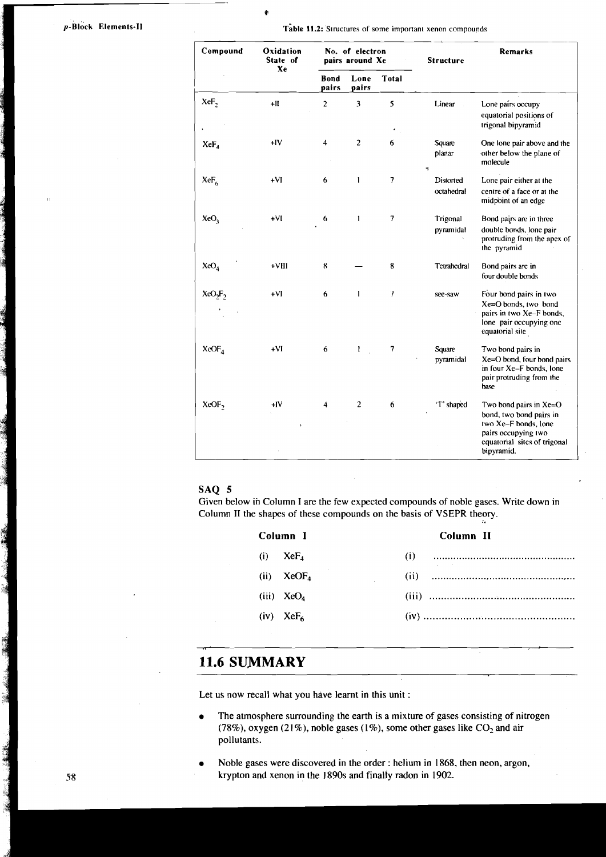**BELLEY BOOK** 

**ROLL** 

**p-Block Elements-II** *x Table 11.2: Structures of some important xenon compounds* 

ø

| Compound                        | Oxidation<br>State of<br>Xe | No. of electron<br>pairs around Xe |                | <b>Structure</b>         | Remarks                 |                                                                                                                                                |
|---------------------------------|-----------------------------|------------------------------------|----------------|--------------------------|-------------------------|------------------------------------------------------------------------------------------------------------------------------------------------|
|                                 |                             | Bond<br>pairs                      | Lone<br>pairs  | <b>Total</b>             |                         |                                                                                                                                                |
| XeF,                            | $+$ II                      | $\overline{c}$                     | 3              | 5                        | Linear                  | Lone pairs occupy<br>equatorial positions of<br>trigonal bipyramid                                                                             |
| $XeF_a$                         | $-IV$                       | 4                                  | $\overline{c}$ | 6                        | Square<br>planar        | One lone pair above and the<br>other below the plane of<br>molecule                                                                            |
| $XeF_6$                         | $+VI$                       | 6                                  | 1              | $\overline{\phantom{a}}$ | Distorted<br>octahedral | Lone pair either at the<br>centre of a face or at the<br>midpoint of an edge                                                                   |
| XeO <sub>3</sub>                | $+VI$                       | 6                                  | 1              | $\overline{\phantom{a}}$ | Trigonal<br>pyramidal   | Bond pairs are in three<br>double bonds, lone pair<br>protruding from the apex of<br>the pyramid                                               |
| XeO <sub>4</sub>                | $+VIII$                     | 8                                  |                | 8                        | Tetrahedral             | Bond pairs are in<br>four double bonds                                                                                                         |
| XeO <sub>2</sub> F <sub>2</sub> | $+VI$                       | 6                                  | 1              | $\mathcal{I}$            | see-saw                 | Four bond pairs in two<br>Xe=O bonds, two bond<br>pairs in two Xe-F bonds,<br>lone pair occupying one<br>equatorial site                       |
| XeOF <sub>4</sub>               | +VI                         | 6                                  | $\mathbf{I}$   | 7                        | Square<br>pyramidal     | Two bond pairs in<br>Xe=O bond, four bond pairs<br>in four Xe-F bonds, lone<br>pair protruding from the<br>base                                |
| XeOF,                           | +IV                         | 4                                  | $\overline{c}$ | 6                        | 'T' shaped              | Two bond pairs in Xe=O<br>bond, two bond pairs in<br>two Xe-F bonds, lone<br>pairs occupying two<br>equatorial sites of trigonal<br>bipyramid. |

#### SAQ **5**

Given below in Column I are the few expected compounds of noble gases. Write down in Column **I1** the shapes of these compounds on the basis of VSEPR theory.

| Column I                | Column II          |
|-------------------------|--------------------|
| $(i)$ XeF <sub>4</sub>  | and the control of |
| $(ii) \qquad XeOF_A$    |                    |
| (iii) $XeO_4$           |                    |
| $(iv)$ XeF <sub>6</sub> |                    |
|                         |                    |

## **11.6 SUMMARY**

Let us now recall what you have learnt in this unit :

- The atmosphere surrounding the earth is a mixture of gases consisting of nitrogen (78%), oxygen (21%), noble gases (1%), some other gases like  $CO<sub>2</sub>$  and air pollutants.
- Noble gases were discovered in the order : helium in 1868, then neon, argon, krypton and xenon in the 1890s and finally radon in 1902.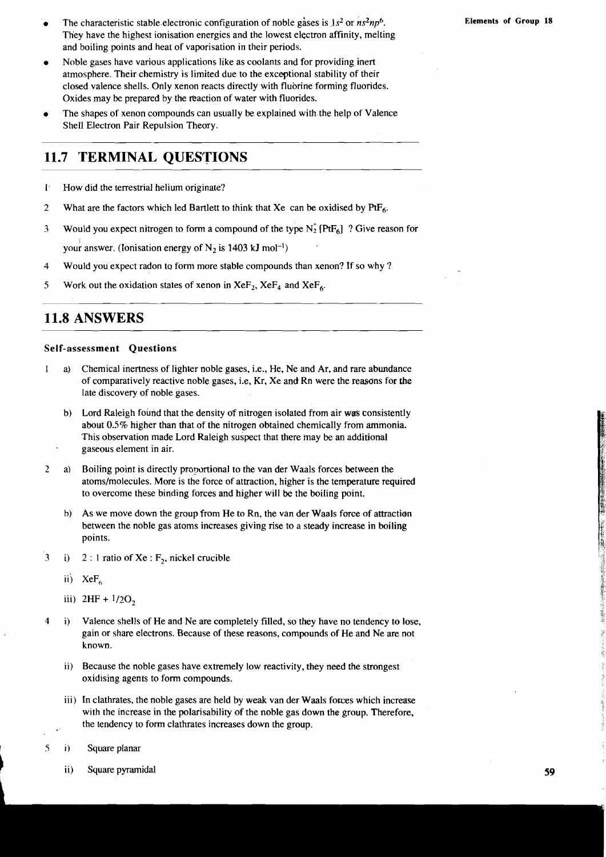- The characteristic stable electronic configuration of noble gases is  $1s^2$  or  $ns^2np^6$ . They have the highest ionisation energies and the lowest electron affinity, melting and boiling points and heat of vaporisation in their periods.
- Noble gases have various applications like as coolants and for providing inert  $\bullet$ atmosphere. Their chemistry is limited due to the exceptional stability of their closed valence shells. Only xenon reacts directly with fluorine forming fluorides. Oxides may be prepared by the reaction of water with fluorides.
- The shapes of xenon compounds can usually be explained with. the help of Valence Shell Electron Pair Repulsion Theory.

#### 11.7 **TERMINAL QUESTIONS**

- 1. How did the terrestrial helium originate?
- *2* What are the factors which led Bartlett to think that Xe can be oxidised by *RFb.*
- **3** Would you expect nitrogen to form a compound of the type N; *IRF6]* ? Give reason for your answer. (Ionisation energy of  $N_2$  is 1403 kJ mol<sup>-1</sup>)
- 4 Would you expect radon to form more stable compounds than xenon? If so why ?
- 5 Work out the oxidation states of xenon in  $XeF_2$ ,  $XeF_4$  and  $XeF_6$ .

## **11.8 ANSWERS**

#### **Self-assessment Questions**

- 1 a) Chemical inertness of lighter noble gases, i.e., He, Ne and Ar, and rare abundance of comparatively reactive noble gases, i.e, Kr, Xe and Rn were the reasons for the late discovery of noble gases.
	- b) Lord Raleigh found that the density of nitrogen isolated from air was consistently about 0.5% higher than that of the nitrogen obtained chemically from ammonia. This observation made Lord Raleigh suspect that there may be an additional gaseous element in air.
- *<sup>2</sup>*a) Boiling point is directly proportional to the van der Waals forces between the atoms/molecules. More is the force of attraction, higher is the temperature required to overcome these binding forces and higher will be the boiling point.
	- b) As we move down the group from He to Rn, the van der Waals force of attraction between the noble gas atoms increases giving rise to a steady increase in boiling points.
- 3 i) 2 : 1 ratio of Xe :  $F_2$ , nickel crucible
	- ii)  $XeF_6$
	- iii)  $2HF + 1/2O_2$
- **<sup>4</sup>**i) Valence shells of He and Ne are completely filled, so they have no tendency to lose, gain or share electrons. Because of these reasons, compounds of He and Ne are not known.
	- ii) Because the noble gases have extremely low reactivity, they need the strongest oxidising agents to form compounds.
	- iii) In clathrates, the noble gases are held by weak van der Waals forces which increase with the increase in the polarisability of the noble gas down the group. Therefore, the tendency to form clathrates increases down the group.

! *5* i) Square planar

ii) Square pyramidal